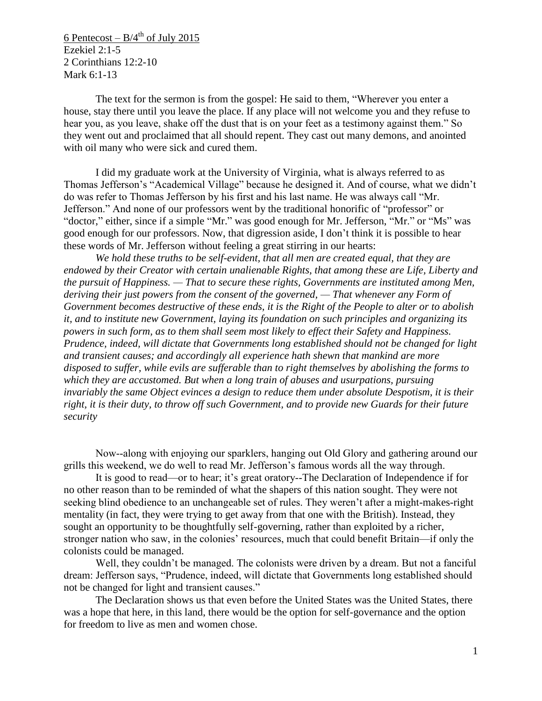6 Pentecost –  $B/4^{th}$  of July 2015 Ezekiel 2:1-5 2 Corinthians 12:2-10 Mark 6:1-13

The text for the sermon is from the gospel: He said to them, "Wherever you enter a house, stay there until you leave the place. If any place will not welcome you and they refuse to hear you, as you leave, shake off the dust that is on your feet as a testimony against them." So they went out and proclaimed that all should repent. They cast out many demons, and anointed with oil many who were sick and cured them.

I did my graduate work at the University of Virginia, what is always referred to as Thomas Jefferson's "Academical Village" because he designed it. And of course, what we didn't do was refer to Thomas Jefferson by his first and his last name. He was always call "Mr. Jefferson." And none of our professors went by the traditional honorific of "professor" or "doctor," either, since if a simple "Mr." was good enough for Mr. Jefferson, "Mr." or "Ms" was good enough for our professors. Now, that digression aside, I don't think it is possible to hear these words of Mr. Jefferson without feeling a great stirring in our hearts:

*We hold these truths to be self-evident, that all men are created equal, that they are endowed by their Creator with certain unalienable Rights, that among these are Life, Liberty and the pursuit of Happiness. — That to secure these rights, Governments are instituted among Men, deriving their just powers from the consent of the governed, — That whenever any Form of Government becomes destructive of these ends, it is the Right of the People to alter or to abolish it, and to institute new Government, laying its foundation on such principles and organizing its powers in such form, as to them shall seem most likely to effect their Safety and Happiness. Prudence, indeed, will dictate that Governments long established should not be changed for light and transient causes; and accordingly all experience hath shewn that mankind are more disposed to suffer, while evils are sufferable than to right themselves by abolishing the forms to which they are accustomed. But when a long train of abuses and usurpations, pursuing invariably the same Object evinces a design to reduce them under absolute Despotism, it is their right, it is their duty, to throw off such Government, and to provide new Guards for their future security*

Now--along with enjoying our sparklers, hanging out Old Glory and gathering around our grills this weekend, we do well to read Mr. Jefferson's famous words all the way through.

It is good to read—or to hear; it's great oratory--The Declaration of Independence if for no other reason than to be reminded of what the shapers of this nation sought. They were not seeking blind obedience to an unchangeable set of rules. They weren't after a might-makes-right mentality (in fact, they were trying to get away from that one with the British). Instead, they sought an opportunity to be thoughtfully self-governing, rather than exploited by a richer, stronger nation who saw, in the colonies' resources, much that could benefit Britain—if only the colonists could be managed.

Well, they couldn't be managed. The colonists were driven by a dream. But not a fanciful dream: Jefferson says, "Prudence, indeed, will dictate that Governments long established should not be changed for light and transient causes."

The Declaration shows us that even before the United States was the United States, there was a hope that here, in this land, there would be the option for self-governance and the option for freedom to live as men and women chose.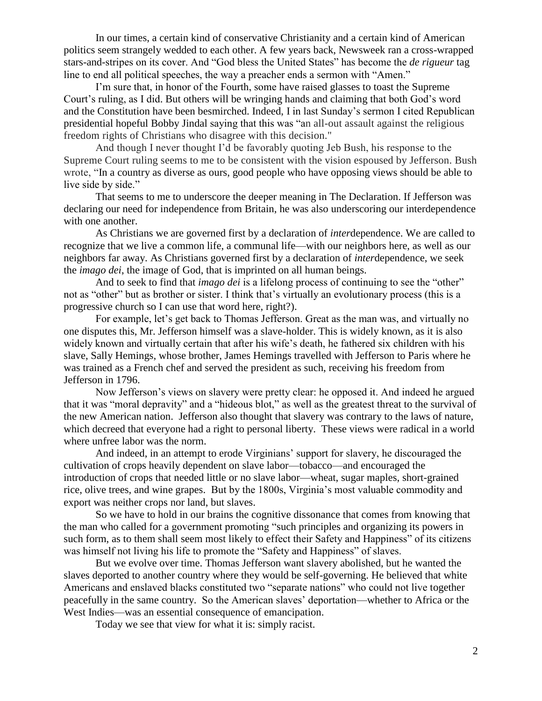In our times, a certain kind of conservative Christianity and a certain kind of American politics seem strangely wedded to each other. A few years back, Newsweek ran a cross-wrapped stars-and-stripes on its cover. And "God bless the United States" has become the *de rigueur* tag line to end all political speeches, the way a preacher ends a sermon with "Amen."

I'm sure that, in honor of the Fourth, some have raised glasses to toast the Supreme Court's ruling, as I did. But others will be wringing hands and claiming that both God's word and the Constitution have been besmirched. Indeed, I in last Sunday's sermon I cited Republican presidential hopeful Bobby Jindal saying that this was "an all-out assault against the religious freedom rights of Christians who disagree with this decision."

And though I never thought I'd be favorably quoting Jeb Bush, his response to the Supreme Court ruling seems to me to be consistent with the vision espoused by Jefferson. Bush wrote, "In a country as diverse as ours, good people who have opposing views should be able to live side by side."

That seems to me to underscore the deeper meaning in The Declaration. If Jefferson was declaring our need for independence from Britain, he was also underscoring our interdependence with one another.

As Christians we are governed first by a declaration of *inter*dependence. We are called to recognize that we live a common life, a communal life—with our neighbors here, as well as our neighbors far away. As Christians governed first by a declaration of *inter*dependence, we seek the *imago dei*, the image of God, that is imprinted on all human beings.

And to seek to find that *imago dei* is a lifelong process of continuing to see the "other" not as "other" but as brother or sister. I think that's virtually an evolutionary process (this is a progressive church so I can use that word here, right?).

For example, let's get back to Thomas Jefferson. Great as the man was, and virtually no one disputes this, Mr. Jefferson himself was a slave-holder. This is widely known, as it is also widely known and virtually certain that after his wife's death, he fathered six children with his slave, Sally Hemings, whose brother, James Hemings travelled with Jefferson to Paris where he was trained as a French chef and served the president as such, receiving his freedom from Jefferson in 1796.

Now Jefferson's views on slavery were pretty clear: he opposed it. And indeed he argued that it was "moral depravity" and a "hideous blot," as well as the greatest threat to the survival of the new American nation. Jefferson also thought that slavery was contrary to the laws of nature, which decreed that everyone had a right to personal liberty. These views were radical in a world where unfree labor was the norm.

And indeed, in an attempt to erode Virginians' support for slavery, he discouraged the cultivation of crops heavily dependent on slave labor—tobacco—and encouraged the introduction of crops that needed little or no slave labor—wheat, sugar maples, short-grained rice, olive trees, and wine grapes. But by the 1800s, Virginia's most valuable commodity and export was neither crops nor land, but slaves.

So we have to hold in our brains the cognitive dissonance that comes from knowing that the man who called for a government promoting "such principles and organizing its powers in such form, as to them shall seem most likely to effect their Safety and Happiness" of its citizens was himself not living his life to promote the "Safety and Happiness" of slaves.

But we evolve over time. Thomas Jefferson want slavery abolished, but he wanted the slaves deported to another country where they would be self-governing. He believed that white Americans and enslaved blacks constituted two "separate nations" who could not live together peacefully in the same country. So the American slaves' deportation—whether to Africa or the West Indies—was an essential consequence of emancipation.

Today we see that view for what it is: simply racist.